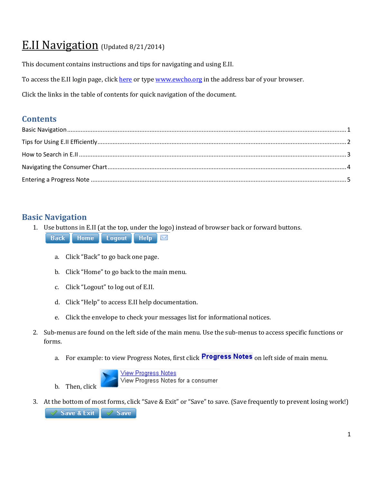# E.II Navigation (Updated 8/21/2014)

This document contains instructions and tips for navigating and using E.II.

To access the E.II login page, clic[k here](http://www.ewcho.org/) or typ[e www.ewcho.org](http://www.ewcho.org/) in the address bar of your browser.

Click the links in the table of contents for quick navigation of the document.

### **Contents**

# <span id="page-0-0"></span>**Basic Navigation**

1. Use buttons in E.II (at the top, under the logo) instead of browser back or forward buttons.

**Home Logout Help Back** X

- a. Click "Back" to go back one page.
- b. Click "Home" to go back to the main menu.
- c. Click "Logout" to log out of E.II.
- d. Click "Help" to access E.II help documentation.
- e. Click the envelope to check your messages list for informational notices.
- 2. Sub-menus are found on the left side of the main menu. Use the sub-menus to access specific functions or forms.
	- a. For example: to view Progress Notes, first click **Progress Notes** on left side of main menu.



3. At the bottom of most forms, click "Save & Exit" or "Save" to save. (Save frequently to prevent losing work!)Save & Exit  $\sqrt{}$  Save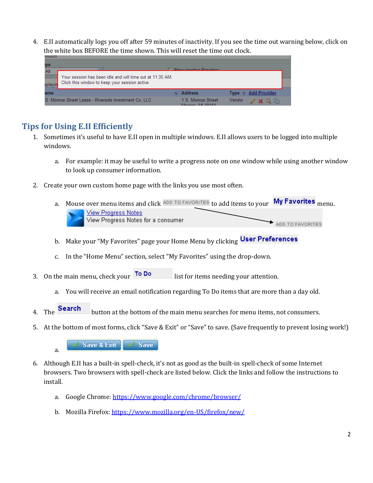4. E.II automatically logs you off after 59 minutes of inactivity. If you see the time out warning below, click on the white box BEFORE the time shown. This will reset the time out clock.

| 'pe<br>All<br>splayir | Your session has been idle and will time out at 11:35 AM.<br>Click this window to keep your session active. | Rhow inactive Previdere               |                                |
|-----------------------|-------------------------------------------------------------------------------------------------------------|---------------------------------------|--------------------------------|
| ame                   |                                                                                                             | <b>Address</b>                        | Type $\triangleq$ Add Provider |
|                       | S. Monroe Street Lease - Riverside Investment Co. LLC                                                       | 1 S. Monroe Street<br>Monroe, ML48161 | Vendor<br>$2$ X Q $\mathbb{R}$ |

# <span id="page-1-0"></span>**Tips for Using E.II Efficiently**

- 1. Sometimes it's useful to have E.II open in multiple windows. E.II allows users to be logged into multiple windows.
	- a. For example: it may be useful to write a progress note on one window while using another window to look up consumer information.
- 2. Create your own custom home page with the links you use most often.
	- a. Mouse over menu items and click ADD TO FAVORITES to add items to your My Favorites <sub>menu.</sub>

| View Progress Notes                |                  |
|------------------------------------|------------------|
| View Progress Notes for a consumer | ADD TO FAVORITES |

- b. Make your "My Favorites" page your Home Menu by clicking User Preferences
- c. In the "Home Menu" section, select "My Favorites" using the drop-down.
- 3. On the main menu, check your  $\overline{100}$  Do list for items needing your attention.
	- a. You will receive an email notification regarding To Do items that are more than a day old.
- 4. The **Search** button at the bottom of the main menu searches for menu items, not consumers.
- 5. At the bottom of most forms, click "Save & Exit" or "Save" to save. (Save frequently to prevent losing work!)



- 6. Although E.II has a built-in spell-check, it's not as good as the built-in spell-check of some Internet browsers. Two browsers with spell-check are listed below. Click the links and follow the instructions to install.
	- a. Google Chrome: <https://www.google.com/chrome/browser/>
	- b. Mozilla Firefox: <https://www.mozilla.org/en-US/firefox/new/>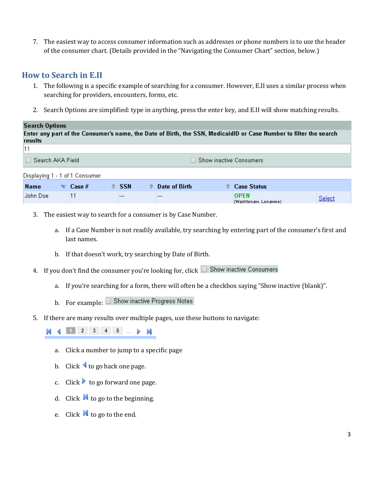7. The easiest way to access consumer information such as addresses or phone numbers is to use the header of the consumer chart. (Details provided in the "Navigating the Consumer Chart" section, below.)

#### <span id="page-2-0"></span>**How to Search in E.II**

- 1. The following is a specific example of searching for a consumer. However, E.II uses a similar process when searching for providers, encounters, forms, etc.
- 2. Search Options are simplified: type in anything, press the enter key, and E.II will show matching results.

#### **Search Options** Enter any part of the Consumer's name, the Date of Birth, the SSN, MedicaidID or Case Number to filter the search results 11 Search AKA Field □ Show inactive Consumers Displaying 1 - 1 of 1 Consumer **Name**  $\blacktriangledown$  Case # **Compare** of Birth Case Status ÷. **SSN** John Doe  $11$ **OPEN**  $\overline{a}$ ---Select (Washtenaw, Lenawee)

- 3. The easiest way to search for a consumer is by Case Number.
	- a. If a Case Number is not readily available, try searching by entering part of the consumer's first and last names.
	- b. If that doesn't work, try searching by Date of Birth.
- 4. If you don't find the consumer you're looking for, click  $\Box$  Show inactive Consumers
	- a. If you're searching for a form, there will often be a checkbox saying "Show inactive (blank)".
	- b. For example:  $\Box$  Show inactive Progress Notes
- 5. If there are many results over multiple pages, use these buttons to navigate:

1 2 3 4 5 ...  $\blacktriangleright$  N K

- a. Click a number to jump to a specific page
- b. Click  $\blacktriangleleft$  to go back one page.
- c. Click  $\triangleright$  to go forward one page.
- d. Click  $\blacksquare$  to go to the beginning.
- e. Click  $\blacksquare$  to go to the end.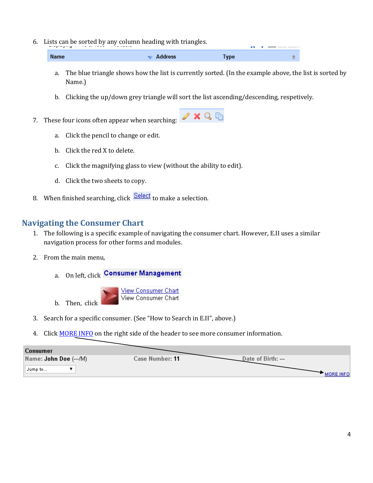6. Lists can be sorted by any column heading with triangles.

| <b>Name</b> | $\blacktriangleright$ Address | Type |  |
|-------------|-------------------------------|------|--|

- a. The blue triangle shows how the list is currently sorted. (In the example above, the list is sorted by Name.)
- b. Clicking the up/down grey triangle will sort the list ascending/descending, respetively.
- 7. These four icons often appear when searching:  $\sqrt{X \cup Q}$ 
	- a. Click the pencil to change or edit.
	- b. Click the red X to delete.
	- c. Click the magnifying glass to view (without the ability to edit).
	- d. Click the two sheets to copy.
- 8. When finished searching, click  $\frac{\text{Select}}{\text{Set}}$  to make a selection.

#### <span id="page-3-0"></span>**Navigating the Consumer Chart**

- 1. The following is a specific example of navigating the consumer chart. However, E.II uses a similar navigation process for other forms and modules.
- 2. From the main menu,
	- a. On left, click Consumer Management



- 3. Search for a specific consumer. (See "How to Search in E.II", above.)
- 4. Click MORE INFO on the right side of the header to see more consumer information.

| <b>Consumer</b>        |                                       |
|------------------------|---------------------------------------|
| Name: John Doe (---/M) | Date of Birth: ---<br>Case Number: 11 |
| ™Jump to… –            | <b>MORE INFO.</b>                     |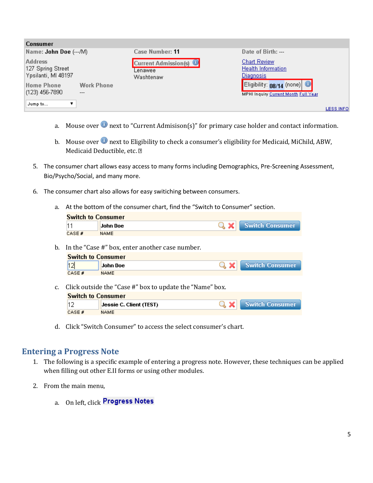| <b>Consumer</b>                                            |                                                     |                                                                                |
|------------------------------------------------------------|-----------------------------------------------------|--------------------------------------------------------------------------------|
| Name: John Doe (---/M)                                     | Case Number: 11                                     | Date of Birth: ---                                                             |
| <b>Address</b><br>127 Spring Street<br>Ypsilanti, MI 48197 | <b>Current Admission(s)</b><br>Lenawee<br>Washtenaw | <b>Chart Review</b><br><b>Health Information</b><br><u>Diagnosis</u>           |
| Home Phone<br>Work Phone<br>$(123)$ 456-7890<br>$---$      |                                                     | Eligibility: $08/14$ (none) $\bigcirc$<br>MPHI Inquiry Current Month Full Year |
| Jump to                                                    |                                                     | <b>LESS INFO</b>                                                               |

- a. Mouse over  $\bullet$  next to "Current Admisison(s)" for primary case holder and contact information.
- b. Mouse over  $\bullet$  next to Eligibility to check a consumer's eligibility for Medicaid, MiChild, ABW, Medicaid Deductible, etc. 2
- 5. The consumer chart allows easy access to many forms including Demographics, Pre-Screening Assessment, Bio/Psycho/Social, and many more.
- 6. The consumer chart also allows for easy switiching between consumers.
	- a. At the bottom of the consumer chart, find the "Switch to Consumer" section.

| <b>Switch to Consumer</b> |             |  |                     |  |
|---------------------------|-------------|--|---------------------|--|
|                           | John Doe    |  | Q X Switch Consumer |  |
| CASE #                    | <b>NAME</b> |  |                     |  |
|                           |             |  |                     |  |

b. In the "Case #" box, enter another case number.

| <b>Switch to Consumer</b> |             |  |                     |  |
|---------------------------|-------------|--|---------------------|--|
|                           | John Doe    |  | Q X Switch Consumer |  |
| CASE #                    | <b>NAME</b> |  |                     |  |

c. Click outside the "Case #" box to update the "Name" box.

| <b>Switch to Consumer</b> |                         |  |                     |  |
|---------------------------|-------------------------|--|---------------------|--|
|                           | Jessie C. Client (TEST) |  | Q X Switch Consumer |  |
| CASE #                    | NAME                    |  |                     |  |

d. Click "Switch Consumer" to access the select consumer's chart.

#### <span id="page-4-0"></span>**Entering a Progress Note**

- 1. The following is a specific example of entering a progress note. However, these techniques can be applied when filling out other E.II forms or using other modules.
- 2. From the main menu,
	- a. On left, click Progress Notes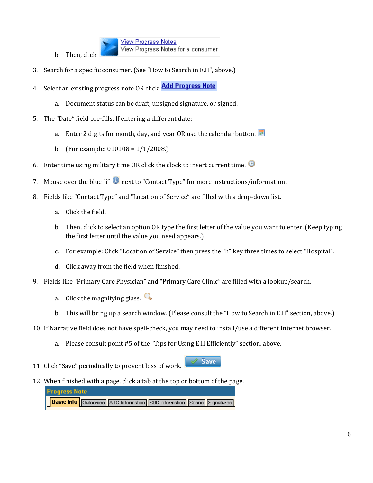

**View Progress Notes** View Progress Notes for a consumer

- 3. Search for a specific consumer. (See "How to Search in E.II", above.)
- 4. Select an existing progress note OR click **Add Progress Note** 
	- a. Document status can be draft, unsigned signature, or signed.
- 5. The "Date" field pre-fills. If entering a different date:
	- a. Enter 2 digits for month, day, and year OR use the calendar button.
	- b. (For example:  $010108 = 1/1/2008$ .)
- 6. Enter time using military time OR click the clock to insert current time.  $\bullet$
- 7. Mouse over the blue "i"  $\bullet$  next to "Contact Type" for more instructions/information.
- 8. Fields like "Contact Type" and "Location of Service" are filled with a drop-down list.
	- a. Click the field.
	- b. Then, click to select an option OR type the first letter of the value you want to enter. (Keep typing the first letter until the value you need appears.)
	- c. For example: Click "Location of Service" then press the "h" key three times to select "Hospital".
	- d. Click away from the field when finished.
- 9. Fields like "Primary Care Physician" and "Primary Care Clinic" are filled with a lookup/search.
	- a. Click the magnifying glass.  $\mathbb Q$
	- b. This will bring up a search window. (Please consult the "How to Search in E.II" section, above.)

 $\mathscr S$  Save

- 10. If Narrative field does not have spell-check, you may need to install/use a different Internet browser.
	- a. Please consult point #5 of the "Tips for Using E.II Efficiently" section, above.
- 11. Click "Save" periodically to prevent loss of work.
- 12. When finished with a page, click a tab at the top or bottom of the page.

| <b>Progress Note</b> |                                                                                     |  |  |
|----------------------|-------------------------------------------------------------------------------------|--|--|
|                      | <b>Basic Info</b> Outcomes   ATO Information   SUD Information   Scans   Signatures |  |  |